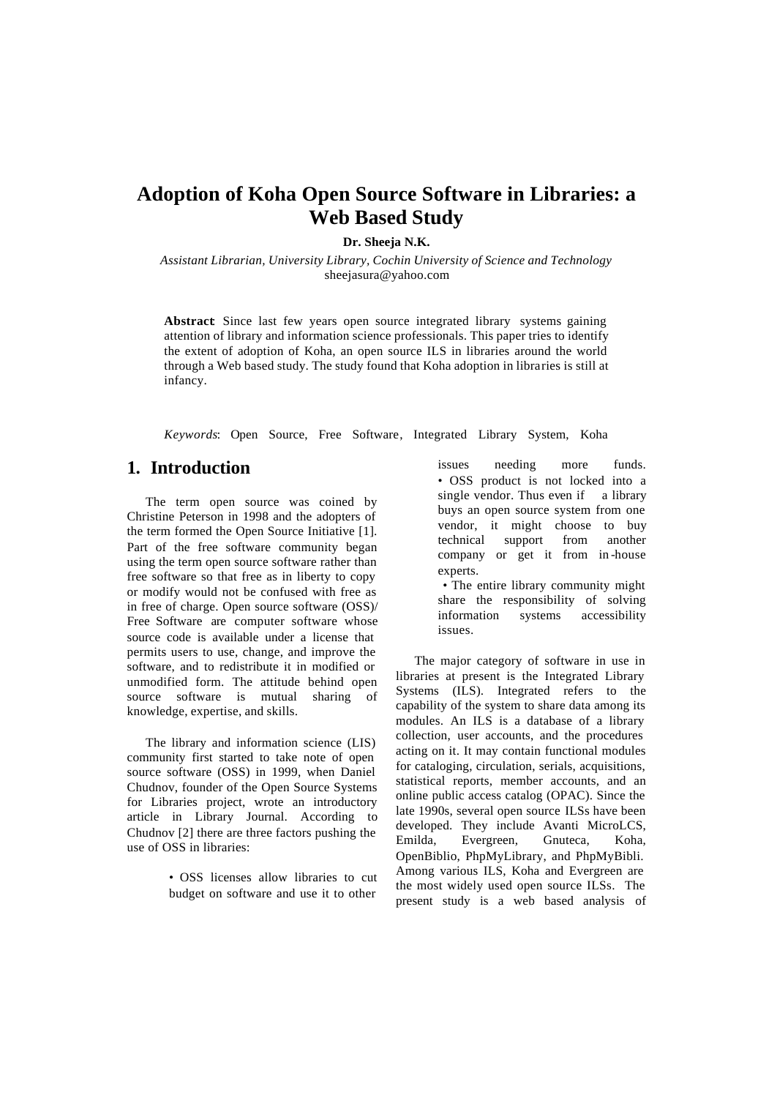# **Adoption of Koha Open Source Software in Libraries: a Web Based Study**

**Dr. Sheeja N.K.**

*Assistant Librarian, University Library, Cochin University of Science and Technology* sheejasura@yahoo.com

**Abstract**: Since last few years open source integrated library systems gaining attention of library and information science professionals. This paper tries to identify the extent of adoption of Koha, an open source ILS in libraries around the world through a Web based study. The study found that Koha adoption in libraries is still at infancy.

*Keywords*: Open Source, Free Software, Integrated Library System, Koha

## **1. Introduction**

The term open source was coined by Christine Peterson in 1998 and the adopters of the term formed the Open Source Initiative [1]. Part of the free software community began using the term open source software rather than free software so that free as in liberty to copy or modify would not be confused with free as in free of charge. Open source software (OSS)/ Free Software are computer software whose source code is available under a license that permits users to use, change, and improve the software, and to redistribute it in modified or unmodified form. The attitude behind open source software is mutual sharing of knowledge, expertise, and skills.

The library and information science (LIS) community first started to take note of open source software (OSS) in 1999, when Daniel Chudnov, founder of the Open Source Systems for Libraries project, wrote an introductory article in Library Journal. According to Chudnov [2] there are three factors pushing the use of OSS in libraries:

> • OSS licenses allow libraries to cut budget on software and use it to other

issues needing more funds. • OSS product is not locked into a single vendor. Thus even if a library buys an open source system from one vendor, it might choose to buy technical support from another company or get it from in -house experts.

• The entire library community might share the responsibility of solving information systems accessibility issues.

The major category of software in use in libraries at present is the Integrated Library Systems (ILS). Integrated refers to the capability of the system to share data among its modules. An ILS is a database of a library collection, user accounts, and the procedures acting on it. It may contain functional modules for cataloging, circulation, serials, acquisitions, statistical reports, member accounts, and an online public access catalog (OPAC). Since the late 1990s, several open source ILSs have been developed. They include Avanti MicroLCS, Emilda, Evergreen, Gnuteca, Koha, OpenBiblio, PhpMyLibrary, and PhpMyBibli. Among various ILS, Koha and Evergreen are the most widely used open source ILSs. The present study is a web based analysis of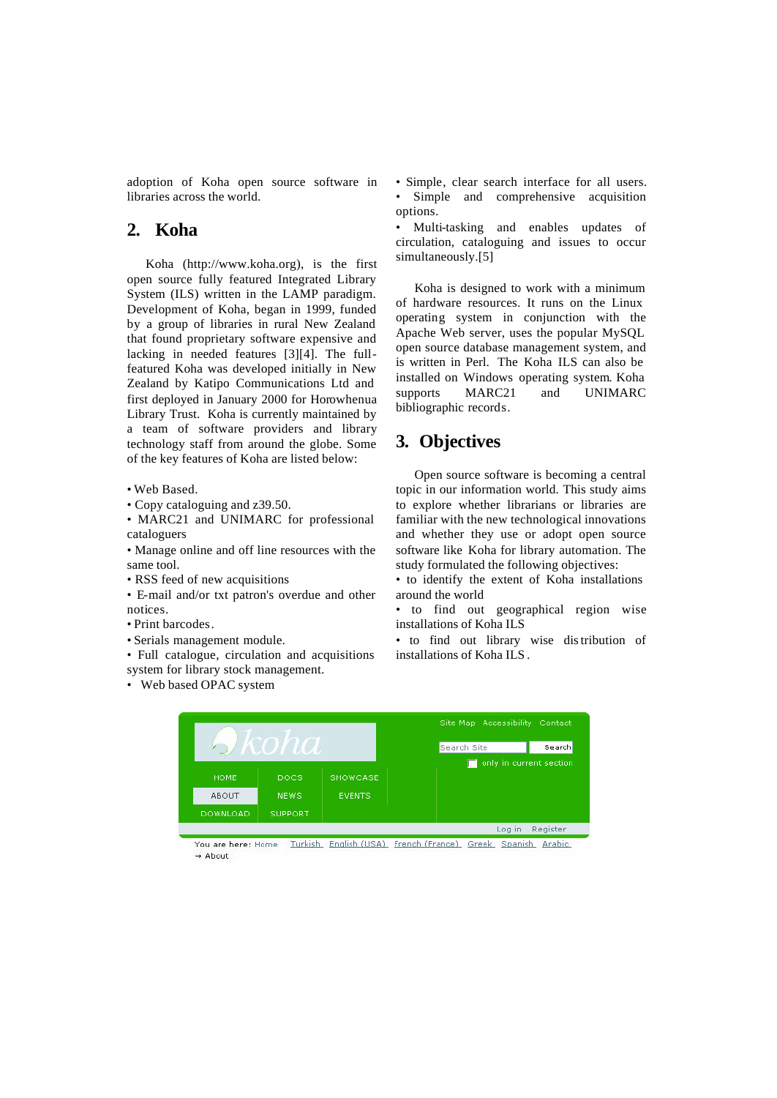adoption of Koha open source software in libraries across the world.

## **2. Koha**

Koha (http://www.koha.org), is the first open source fully featured Integrated Library System (ILS) written in the LAMP paradigm. Development of Koha, began in 1999, funded by a group of libraries in rural New Zealand that found proprietary software expensive and lacking in needed features [3][4]. The fullfeatured Koha was developed initially in New Zealand by Katipo Communications Ltd and first deployed in January 2000 for Horowhenua Library Trust. Koha is currently maintained by a team of software providers and library technology staff from around the globe. Some of the key features of Koha are listed below:

- Web Based.
- Copy cataloguing and z39.50.
- MARC21 and UNIMARC for professional cataloguers

• Manage online and off line resources with the same tool.

- RSS feed of new acquisitions
- E-mail and/or txt patron's overdue and other notices.
- Print barcodes.
- Serials management module.

• Full catalogue, circulation and acquisitions system for library stock management.

• Web based OPAC system

• Simple, clear search interface for all users. Simple and comprehensive acquisition options.

• Multi-tasking and enables updates of circulation, cataloguing and issues to occur simultaneously.[5]

Koha is designed to work with a minimum of hardware resources. It runs on the Linux operating system in conjunction with the Apache Web server, uses the popular MySQL open source database management system, and is written in Perl. The Koha ILS can also be installed on Windows operating system. Koha supports MARC21 and UNIMARC bibliographic records.

#### **3. Objectives**

Open source software is becoming a central topic in our information world. This study aims to explore whether librarians or libraries are familiar with the new technological innovations and whether they use or adopt open source software like Koha for library automation. The study formulated the following objectives:

• to identify the extent of Koha installations around the world

• to find out geographical region wise installations of Koha ILS

• to find out library wise distribution of installations of Koha ILS .



You are here: Home Turkish English (USA) French (France) Greek Spanish Arabic  $\rightarrow$  Ahout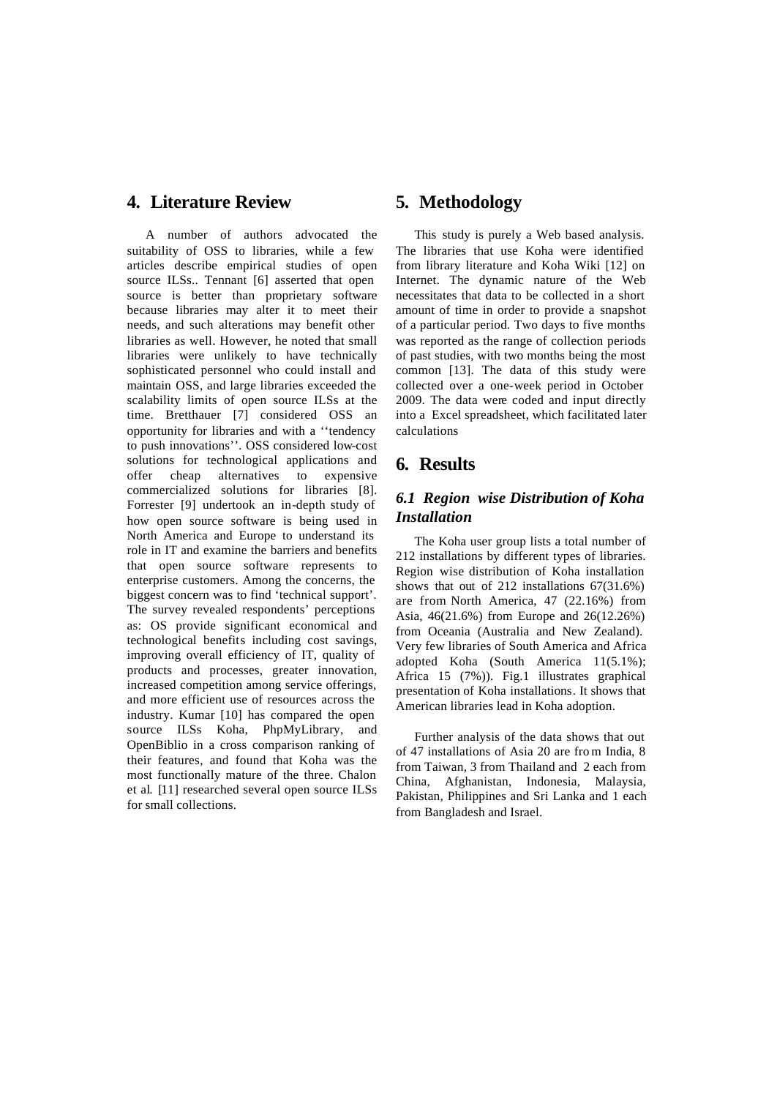## **4. Literature Review**

A number of authors advocated the suitability of OSS to libraries, while a few articles describe empirical studies of open source ILSs.. Tennant [6] asserted that open source is better than proprietary software because libraries may alter it to meet their needs, and such alterations may benefit other libraries as well. However, he noted that small libraries were unlikely to have technically sophisticated personnel who could install and maintain OSS, and large libraries exceeded the scalability limits of open source ILSs at the time. Bretthauer [7] considered OSS an opportunity for libraries and with a ''tendency to push innovations''. OSS considered low-cost solutions for technological applications and offer cheap alternatives to expensive commercialized solutions for libraries [8]. Forrester [9] undertook an in-depth study of how open source software is being used in North America and Europe to understand its role in IT and examine the barriers and benefits that open source software represents to enterprise customers. Among the concerns, the biggest concern was to find 'technical support'. The survey revealed respondents' perceptions as: OS provide significant economical and technological benefits including cost savings, improving overall efficiency of IT, quality of products and processes, greater innovation, increased competition among service offerings, and more efficient use of resources across the industry. Kumar [10] has compared the open source ILSs Koha, PhpMyLibrary, and OpenBiblio in a cross comparison ranking of their features, and found that Koha was the most functionally mature of the three. Chalon et al. [11] researched several open source ILSs for small collections.

## **5. Methodology**

This study is purely a Web based analysis. The libraries that use Koha were identified from library literature and Koha Wiki [12] on Internet. The dynamic nature of the Web necessitates that data to be collected in a short amount of time in order to provide a snapshot of a particular period. Two days to five months was reported as the range of collection periods of past studies, with two months being the most common [13]. The data of this study were collected over a one-week period in October 2009. The data were coded and input directly into a Excel spreadsheet, which facilitated later calculations

## **6. Results**

#### *6.1 Region wise Distribution of Koha Installation*

The Koha user group lists a total number of 212 installations by different types of libraries. Region wise distribution of Koha installation shows that out of 212 installations 67(31.6%) are from North America, 47 (22.16%) from Asia, 46(21.6%) from Europe and 26(12.26%) from Oceania (Australia and New Zealand). Very few libraries of South America and Africa adopted Koha (South America 11(5.1%); Africa 15 (7%)). Fig.1 illustrates graphical presentation of Koha installations. It shows that American libraries lead in Koha adoption.

Further analysis of the data shows that out of 47 installations of Asia 20 are fro m India, 8 from Taiwan, 3 from Thailand and 2 each from China, Afghanistan, Indonesia, Malaysia, Pakistan, Philippines and Sri Lanka and 1 each from Bangladesh and Israel.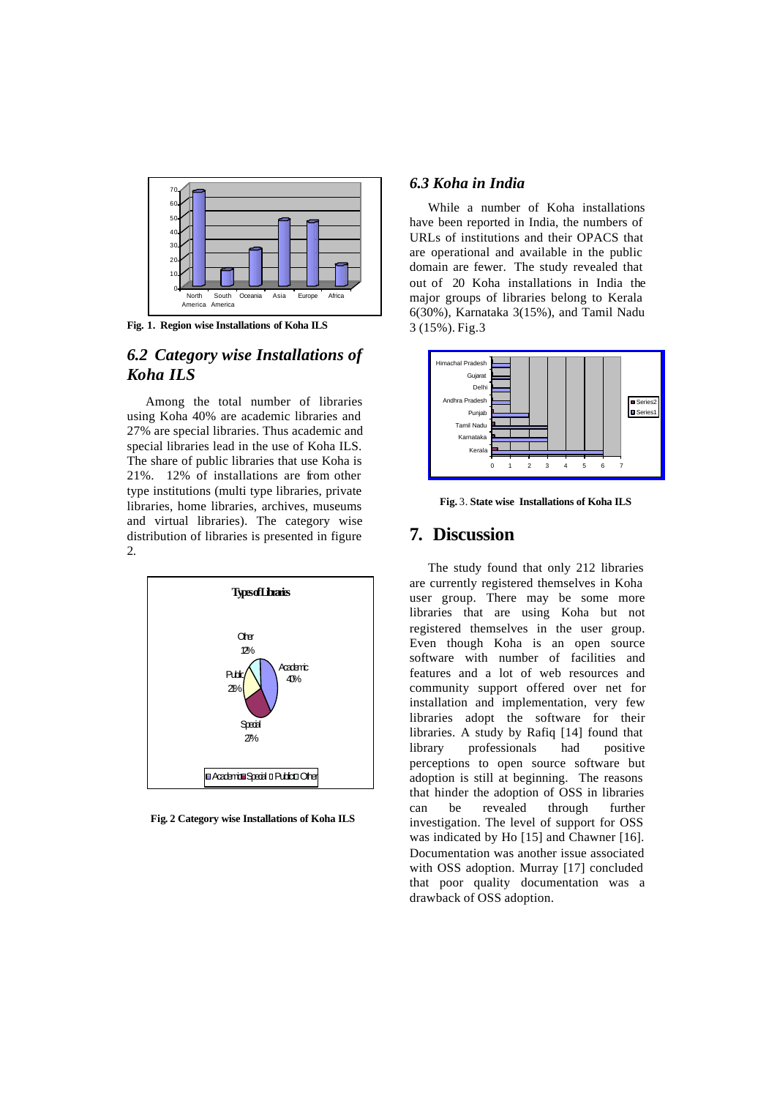

**Fig. 1. Region wise Installations of Koha ILS**

## *6.2 Category wise Installations of Koha ILS*

Among the total number of libraries using Koha 40% are academic libraries and 27% are special libraries. Thus academic and special libraries lead in the use of Koha ILS. The share of public libraries that use Koha is 21%. 12% of installations are from other type institutions (multi type libraries, private libraries, home libraries, archives, museums and virtual libraries). The category wise distribution of libraries is presented in figure  $\mathcal{L}$ 



**Fig. 2 Category wise Installations of Koha ILS**

#### *6.3 Koha in India*

While a number of Koha installations have been reported in India, the numbers of URLs of institutions and their OPACS that are operational and available in the public domain are fewer. The study revealed that out of 20 Koha installations in India the major groups of libraries belong to Kerala 6(30%), Karnataka 3(15%), and Tamil Nadu 3 (15%). Fig.3



**Fig.** 3. **State wise Installations of Koha ILS**

## **7. Discussion**

The study found that only 212 libraries are currently registered themselves in Koha user group. There may be some more libraries that are using Koha but not registered themselves in the user group. Even though Koha is an open source software with number of facilities and features and a lot of web resources and community support offered over net for installation and implementation, very few libraries adopt the software for their libraries. A study by Rafiq [14] found that library professionals had positive perceptions to open source software but adoption is still at beginning. The reasons that hinder the adoption of OSS in libraries can be revealed through further investigation. The level of support for OSS was indicated by Ho [15] and Chawner [16]. Documentation was another issue associated with OSS adoption. Murray [17] concluded that poor quality documentation was a drawback of OSS adoption.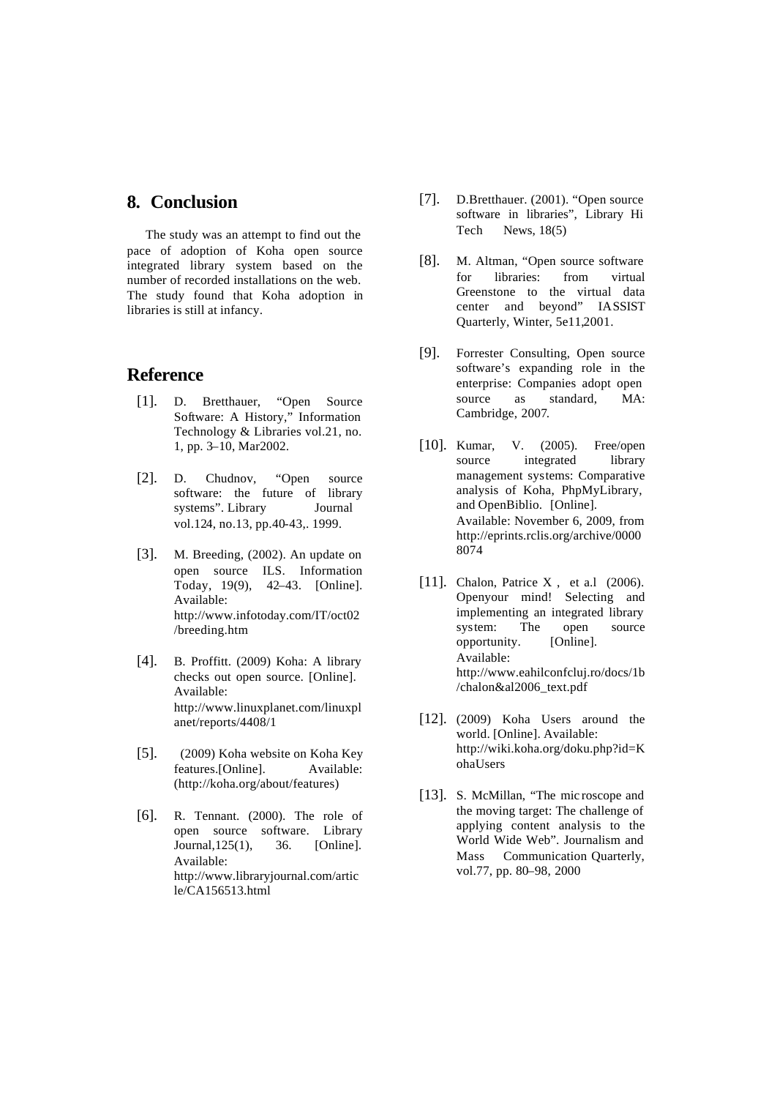#### **8. Conclusion**

The study was an attempt to find out the pace of adoption of Koha open source integrated library system based on the number of recorded installations on the web. The study found that Koha adoption in libraries is still at infancy.

#### **Reference**

- [1]. D. Bretthauer, "Open Source Software: A History," Information Technology & Libraries vol.21, no. 1, pp. 3–10, Mar2002.
- [2]. D. Chudnov, "Open source software: the future of library systems". Library Journal vol.124, no.13, pp.40-43,. 1999.
- [3]. M. Breeding, (2002). An update on open source ILS. Information Today, 19(9), 42–43. [Online]. Available: http://www.infotoday.com/IT/oct02 /breeding.htm
- [4]. B. Proffitt. (2009) Koha: A library checks out open source. [Online]. Available: http://www.linuxplanet.com/linuxpl anet/reports/4408/1
- [5]. (2009) Koha website on Koha Key features.[Online]. Available: (http://koha.org/about/features)
- [6]. R. Tennant. (2000). The role of open source software. Library Journal,125(1), 36. [Online]. Available: http://www.libraryjournal.com/artic le/CA156513.html
- [7]. D.Bretthauer. (2001). "Open source software in libraries", Library Hi Tech News, 18(5)
- [8]. M. Altman, "Open source software for libraries: from virtual Greenstone to the virtual data center and beyond" IASSIST Quarterly, Winter, 5e11,2001.
- [9]. Forrester Consulting, Open source software's expanding role in the enterprise: Companies adopt open source as standard, MA: Cambridge, 2007.
- [10]. Kumar, V. (2005). Free/open source integrated library management systems: Comparative analysis of Koha, PhpMyLibrary, and OpenBiblio. [Online]. Available: November 6, 2009, from http://eprints.rclis.org/archive/0000 8074
- [11]. Chalon, Patrice X, et a.l (2006). Openyour mind! Selecting and implementing an integrated library system: The open source opportunity. [Online]. Available: http://www.eahilconfcluj.ro/docs/1b /chalon&al2006\_text.pdf
- [12]. (2009) Koha Users around the world. [Online]. Available: http://wiki.koha.org/doku.php?id=K ohaUsers
- [13]. S. McMillan, "The mic roscope and the moving target: The challenge of applying content analysis to the World Wide Web". Journalism and Mass Communication Quarterly, vol.77, pp. 80–98, 2000